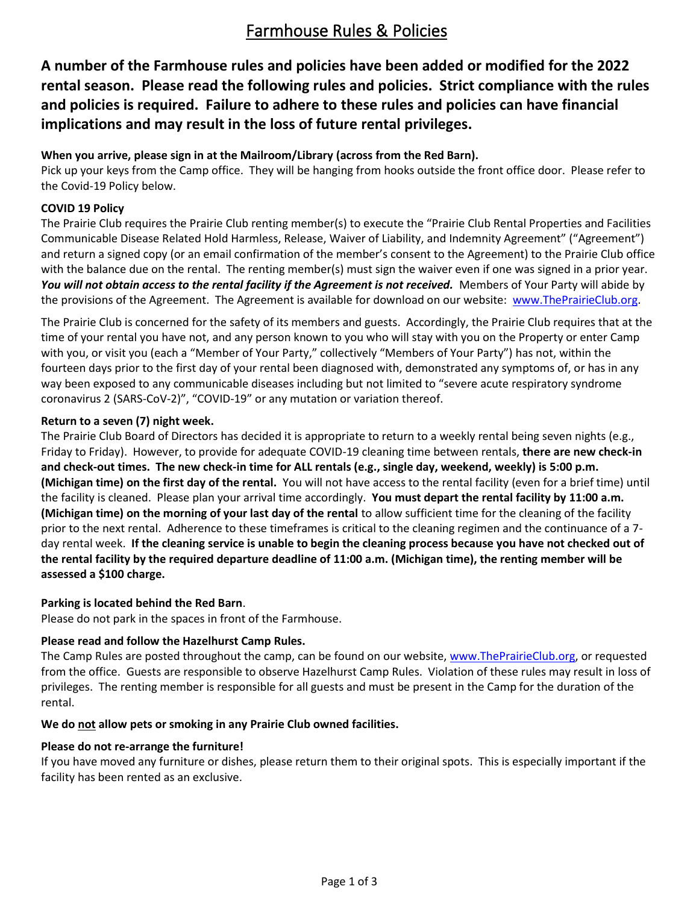# Farmhouse Rules & Policies

**A number of the Farmhouse rules and policies have been added or modified for the 2022 rental season. Please read the following rules and policies. Strict compliance with the rules and policies is required. Failure to adhere to these rules and policies can have financial implications and may result in the loss of future rental privileges.**

### **When you arrive, please sign in at the Mailroom/Library (across from the Red Barn).**

Pick up your keys from the Camp office. They will be hanging from hooks outside the front office door. Please refer to the Covid-19 Policy below.

## **COVID 19 Policy**

The Prairie Club requires the Prairie Club renting member(s) to execute the "Prairie Club Rental Properties and Facilities Communicable Disease Related Hold Harmless, Release, Waiver of Liability, and Indemnity Agreement" ("Agreement") and return a signed copy (or an email confirmation of the member's consent to the Agreement) to the Prairie Club office with the balance due on the rental. The renting member(s) must sign the waiver even if one was signed in a prior year. You will not obtain access to the rental facility if the Agreement is not received. Members of Your Party will abide by the provisions of the Agreement. The Agreement is available for download on our website: [www.ThePrairieClub.org.](http://www.theprairieclub.org/)

The Prairie Club is concerned for the safety of its members and guests. Accordingly, the Prairie Club requires that at the time of your rental you have not, and any person known to you who will stay with you on the Property or enter Camp with you, or visit you (each a "Member of Your Party," collectively "Members of Your Party") has not, within the fourteen days prior to the first day of your rental been diagnosed with, demonstrated any symptoms of, or has in any way been exposed to any communicable diseases including but not limited to "severe acute respiratory syndrome coronavirus 2 (SARS-CoV-2)", "COVID-19" or any mutation or variation thereof.

### **Return to a seven (7) night week.**

The Prairie Club Board of Directors has decided it is appropriate to return to a weekly rental being seven nights (e.g., Friday to Friday). However, to provide for adequate COVID-19 cleaning time between rentals, **there are new check-in and check-out times. The new check-in time for ALL rentals (e.g., single day, weekend, weekly) is 5:00 p.m. (Michigan time) on the first day of the rental.** You will not have access to the rental facility (even for a brief time) until the facility is cleaned. Please plan your arrival time accordingly. **You must depart the rental facility by 11:00 a.m. (Michigan time) on the morning of your last day of the rental** to allow sufficient time for the cleaning of the facility prior to the next rental. Adherence to these timeframes is critical to the cleaning regimen and the continuance of a 7 day rental week. **If the cleaning service is unable to begin the cleaning process because you have not checked out of the rental facility by the required departure deadline of 11:00 a.m. (Michigan time), the renting member will be assessed a \$100 charge.**

### **Parking is located behind the Red Barn**.

Please do not park in the spaces in front of the Farmhouse.

### **Please read and follow the Hazelhurst Camp Rules.**

The Camp Rules are posted throughout the camp, can be found on our website, [www.ThePrairieClub.org,](http://www.theprairieclub.org/) or requested from the office.Guests are responsible to observe Hazelhurst Camp Rules. Violation of these rules may result in loss of privileges. The renting member is responsible for all guests and must be present in the Camp for the duration of the rental.

#### **We do not allow pets or smoking in any Prairie Club owned facilities.**

### **Please do not re-arrange the furniture!**

If you have moved any furniture or dishes, please return them to their original spots. This is especially important if the facility has been rented as an exclusive.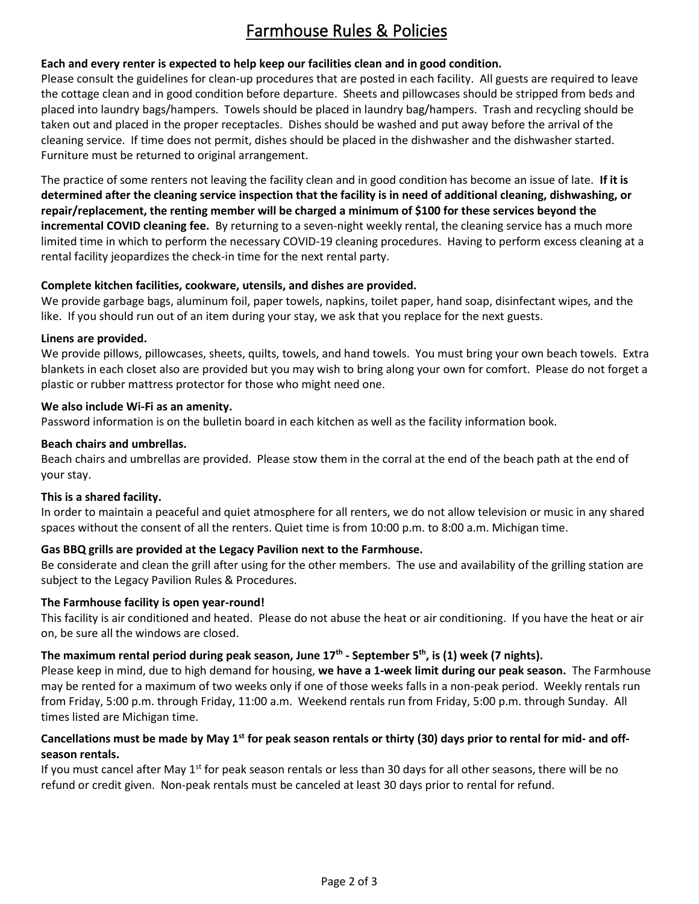# Farmhouse Rules & Policies

# **Each and every renter is expected to help keep our facilities clean and in good condition.**

Please consult the guidelines for clean-up procedures that are posted in each facility. All guests are required to leave the cottage clean and in good condition before departure. Sheets and pillowcases should be stripped from beds and placed into laundry bags/hampers. Towels should be placed in laundry bag/hampers. Trash and recycling should be taken out and placed in the proper receptacles. Dishes should be washed and put away before the arrival of the cleaning service. If time does not permit, dishes should be placed in the dishwasher and the dishwasher started. Furniture must be returned to original arrangement.

The practice of some renters not leaving the facility clean and in good condition has become an issue of late. **If it is determined after the cleaning service inspection that the facility is in need of additional cleaning, dishwashing, or repair/replacement, the renting member will be charged a minimum of \$100 for these services beyond the incremental COVID cleaning fee.** By returning to a seven-night weekly rental, the cleaning service has a much more limited time in which to perform the necessary COVID-19 cleaning procedures. Having to perform excess cleaning at a rental facility jeopardizes the check-in time for the next rental party.

## **Complete kitchen facilities, cookware, utensils, and dishes are provided.**

We provide garbage bags, aluminum foil, paper towels, napkins, toilet paper, hand soap, disinfectant wipes, and the like. If you should run out of an item during your stay, we ask that you replace for the next guests.

#### **Linens are provided.**

We provide pillows, pillowcases, sheets, quilts, towels, and hand towels. You must bring your own beach towels. Extra blankets in each closet also are provided but you may wish to bring along your own for comfort. Please do not forget a plastic or rubber mattress protector for those who might need one.

#### **We also include Wi-Fi as an amenity.**

Password information is on the bulletin board in each kitchen as well as the facility information book.

#### **Beach chairs and umbrellas.**

Beach chairs and umbrellas are provided. Please stow them in the corral at the end of the beach path at the end of your stay.

### **This is a shared facility.**

In order to maintain a peaceful and quiet atmosphere for all renters, we do not allow television or music in any shared spaces without the consent of all the renters. Quiet time is from 10:00 p.m. to 8:00 a.m. Michigan time.

### **Gas BBQ grills are provided at the Legacy Pavilion next to the Farmhouse.**

Be considerate and clean the grill after using for the other members. The use and availability of the grilling station are subject to the Legacy Pavilion Rules & Procedures.

### **The Farmhouse facility is open year-round!**

This facility is air conditioned and heated. Please do not abuse the heat or air conditioning. If you have the heat or air on, be sure all the windows are closed.

### **The maximum rental period during peak season, June 17th - September 5th, is (1) week (7 nights).**

Please keep in mind, due to high demand for housing, **we have a 1-week limit during our peak season.** The Farmhouse may be rented for a maximum of two weeks only if one of those weeks falls in a non-peak period. Weekly rentals run from Friday, 5:00 p.m. through Friday, 11:00 a.m. Weekend rentals run from Friday, 5:00 p.m. through Sunday. All times listed are Michigan time.

### **Cancellations must be made by May 1st for peak season rentals or thirty (30) days prior to rental for mid- and offseason rentals.**

If you must cancel after May  $1<sup>st</sup>$  for peak season rentals or less than 30 days for all other seasons, there will be no refund or credit given. Non-peak rentals must be canceled at least 30 days prior to rental for refund.